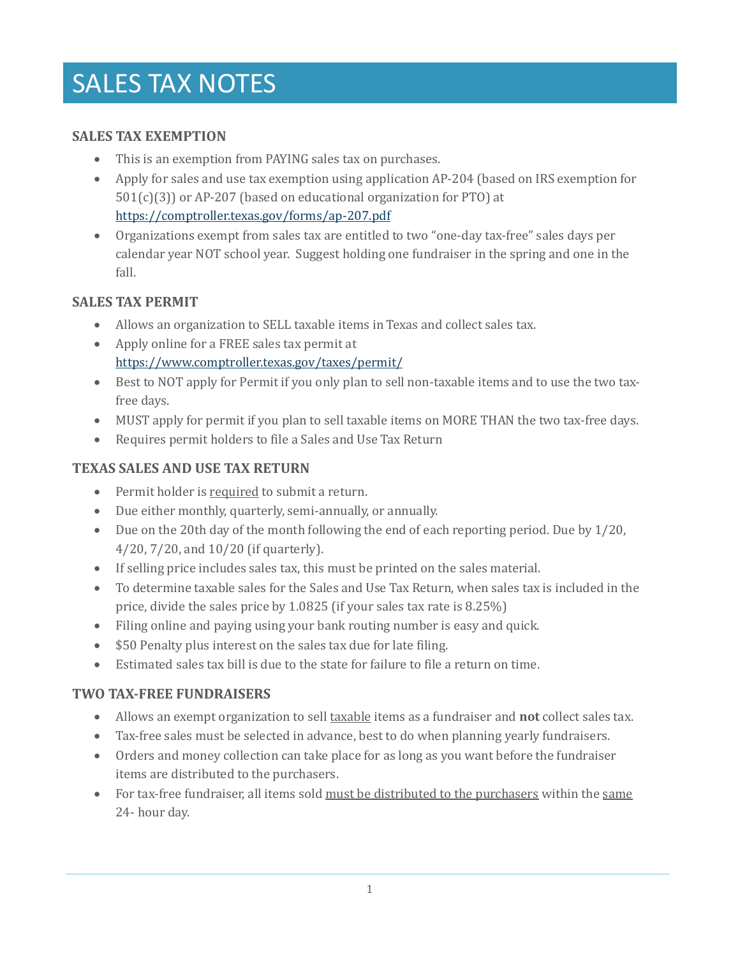# SALES TAX NOTES

#### **SALES TAX EXEMPTION**

- This is an exemption from PAYING sales tax on purchases.
- Apply for sales and use tax exemption using application AP-204 (based on IRS exemption for 501(c)(3)) or AP-207 (based on educational organization for PTO) at <https://comptroller.texas.gov/forms/ap-207.pdf>
- Organizations exempt from sales tax are entitled to two "one-day tax-free" sales days per calendar year NOT school year. Suggest holding one fundraiser in the spring and one in the fall.

#### **SALES TAX PERMIT**

- Allows an organization to SELL taxable items in Texas and collect sales tax.
- Apply online for a FREE sales tax permit at <https://www.comptroller.texas.gov/taxes/permit/>
- Best to NOT apply for Permit if you only plan to sell non-taxable items and to use the two taxfree days.
- MUST apply for permit if you plan to sell taxable items on MORE THAN the two tax-free days.
- Requires permit holders to file a Sales and Use Tax Return

## **TEXAS SALES AND USE TAX RETURN**

- Permit holder is required to submit a return.
- Due either monthly, quarterly, semi-annually, or annually.
- Due on the 20th day of the month following the end of each reporting period. Due by 1/20, 4/20, 7/20, and 10/20 (if quarterly).
- If selling price includes sales tax, this must be printed on the sales material.
- To determine taxable sales for the Sales and Use Tax Return, when sales tax is included in the price, divide the sales price by 1.0825 (if your sales tax rate is 8.25%)
- Filing online and paying using your bank routing number is easy and quick.
- \$50 Penalty plus interest on the sales tax due for late filing.
- Estimated sales tax bill is due to the state for failure to file a return on time.

## **TWO TAX-FREE FUNDRAISERS**

- Allows an exempt organization to sell taxable items as a fundraiser and **not** collect sales tax.
- Tax-free sales must be selected in advance, best to do when planning yearly fundraisers.
- Orders and money collection can take place for as long as you want before the fundraiser items are distributed to the purchasers.
- For tax-free fundraiser, all items sold must be distributed to the purchasers within the same 24- hour day.